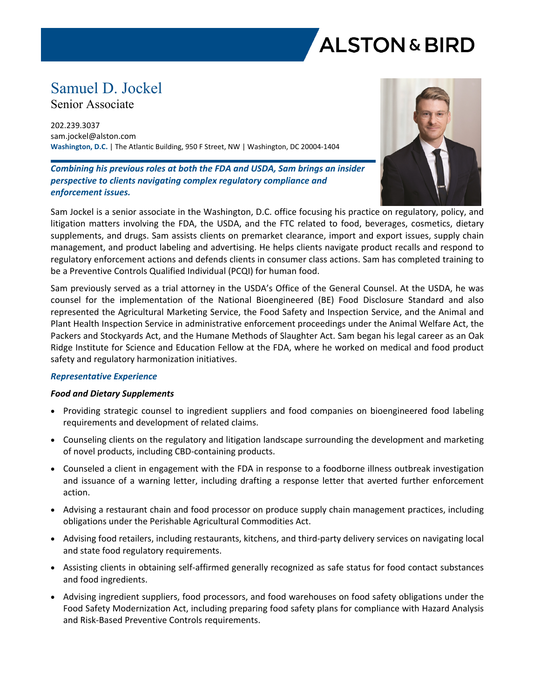

# Samuel D. Jockel

Senior Associate

202.239.3037 sam.jockel@alston.com **Washington, D.C.** | The Atlantic Building, 950 F Street, NW | Washington, DC 20004-1404

*Combining his previous roles at both the FDA and USDA, Sam brings an insider perspective to clients navigating complex regulatory compliance and enforcement issues.*



Sam Jockel is a senior associate in the Washington, D.C. office focusing his practice on regulatory, policy, and litigation matters involving the FDA, the USDA, and the FTC related to food, beverages, cosmetics, dietary supplements, and drugs. Sam assists clients on premarket clearance, import and export issues, supply chain management, and product labeling and advertising. He helps clients navigate product recalls and respond to regulatory enforcement actions and defends clients in consumer class actions. Sam has completed training to be a Preventive Controls Qualified Individual (PCQI) for human food.

Sam previously served as a trial attorney in the USDA's Office of the General Counsel. At the USDA, he was counsel for the implementation of the National Bioengineered (BE) Food Disclosure Standard and also represented the Agricultural Marketing Service, the Food Safety and Inspection Service, and the Animal and Plant Health Inspection Service in administrative enforcement proceedings under the Animal Welfare Act, the Packers and Stockyards Act, and the Humane Methods of Slaughter Act. Sam began his legal career as an Oak Ridge Institute for Science and Education Fellow at the FDA, where he worked on medical and food product safety and regulatory harmonization initiatives.

# *Representative Experience*

# *Food and Dietary Supplements*

- Providing strategic counsel to ingredient suppliers and food companies on bioengineered food labeling requirements and development of related claims.
- Counseling clients on the regulatory and litigation landscape surrounding the development and marketing of novel products, including CBD-containing products.
- Counseled a client in engagement with the FDA in response to a foodborne illness outbreak investigation and issuance of a warning letter, including drafting a response letter that averted further enforcement action.
- Advising a restaurant chain and food processor on produce supply chain management practices, including obligations under the Perishable Agricultural Commodities Act.
- Advising food retailers, including restaurants, kitchens, and third-party delivery services on navigating local and state food regulatory requirements.
- Assisting clients in obtaining self-affirmed generally recognized as safe status for food contact substances and food ingredients.
- Advising ingredient suppliers, food processors, and food warehouses on food safety obligations under the Food Safety Modernization Act, including preparing food safety plans for compliance with Hazard Analysis and Risk-Based Preventive Controls requirements.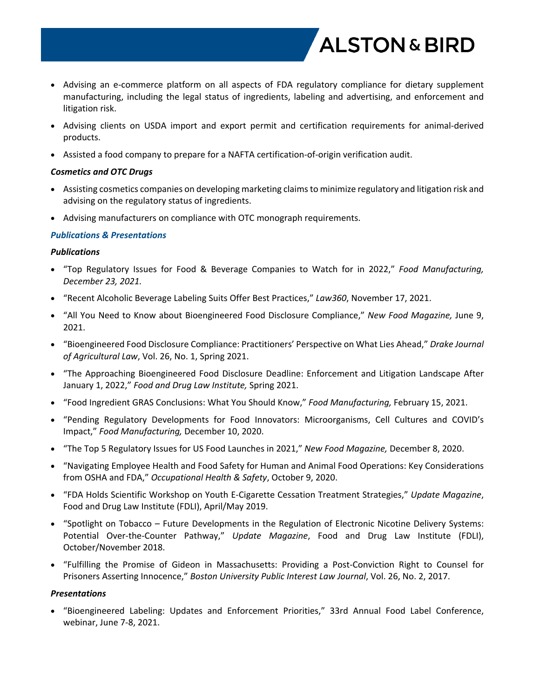

- Advising an e-commerce platform on all aspects of FDA regulatory compliance for dietary supplement manufacturing, including the legal status of ingredients, labeling and advertising, and enforcement and litigation risk.
- Advising clients on USDA import and export permit and certification requirements for animal-derived products.
- Assisted a food company to prepare for a NAFTA certification-of-origin verification audit.

# *Cosmetics and OTC Drugs*

- Assisting cosmetics companies on developing marketing claims to minimize regulatory and litigation risk and advising on the regulatory status of ingredients.
- Advising manufacturers on compliance with OTC monograph requirements.

# *Publications & Presentations*

# *Publications*

- "Top Regulatory Issues for Food & Beverage Companies to Watch for in 2022," *Food Manufacturing, December 23, 2021.*
- "Recent Alcoholic Beverage Labeling Suits Offer Best Practices," *Law360*, November 17, 2021.
- "All You Need to Know about Bioengineered Food Disclosure Compliance," *New Food Magazine,* June 9, 2021.
- "Bioengineered Food Disclosure Compliance: Practitioners' Perspective on What Lies Ahead," *Drake Journal of Agricultural Law*, Vol. 26, No. 1, Spring 2021.
- "The Approaching Bioengineered Food Disclosure Deadline: Enforcement and Litigation Landscape After January 1, 2022," *Food and Drug Law Institute,* Spring 2021.
- "Food Ingredient GRAS Conclusions: What You Should Know," *Food Manufacturing,* February 15, 2021.
- "Pending Regulatory Developments for Food Innovators: Microorganisms, Cell Cultures and COVID's Impact," *Food Manufacturing,* December 10, 2020.
- "The Top 5 Regulatory Issues for US Food Launches in 2021," *New Food Magazine,* December 8, 2020.
- "Navigating Employee Health and Food Safety for Human and Animal Food Operations: Key Considerations from OSHA and FDA," *Occupational Health & Safety*, October 9, 2020.
- "FDA Holds Scientific Workshop on Youth E-Cigarette Cessation Treatment Strategies," *Update Magazine*, Food and Drug Law Institute (FDLI), April/May 2019.
- "Spotlight on Tobacco Future Developments in the Regulation of Electronic Nicotine Delivery Systems: Potential Over-the-Counter Pathway," *Update Magazine*, Food and Drug Law Institute (FDLI), October/November 2018.
- "Fulfilling the Promise of Gideon in Massachusetts: Providing a Post-Conviction Right to Counsel for Prisoners Asserting Innocence," *Boston University Public Interest Law Journal*, Vol. 26, No. 2, 2017.

#### *Presentations*

 "Bioengineered Labeling: Updates and Enforcement Priorities," 33rd Annual Food Label Conference, webinar, June 7-8, 2021.